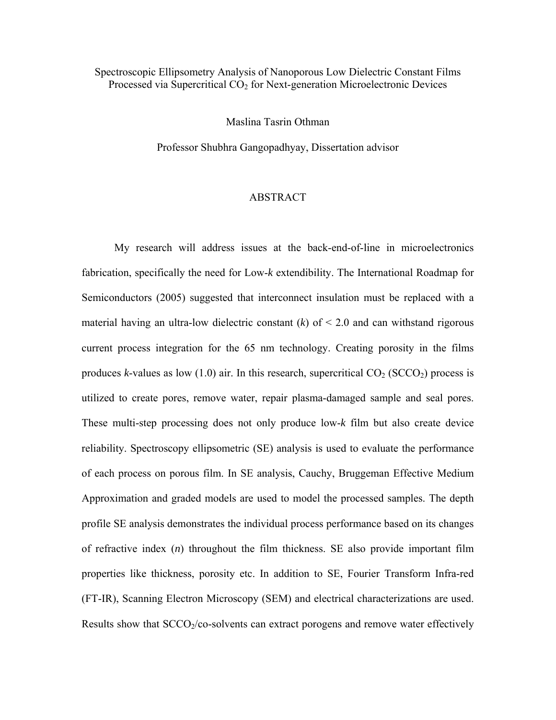## Spectroscopic Ellipsometry Analysis of Nanoporous Low Dielectric Constant Films Processed via Supercritical  $CO<sub>2</sub>$  for Next-generation Microelectronic Devices

Maslina Tasrin Othman

Professor Shubhra Gangopadhyay, Dissertation advisor

## ABSTRACT

My research will address issues at the back-end-of-line in microelectronics fabrication, specifically the need for Low-*k* extendibility. The International Roadmap for Semiconductors (2005) suggested that interconnect insulation must be replaced with a material having an ultra-low dielectric constant  $(k)$  of  $\leq 2.0$  and can withstand rigorous current process integration for the 65 nm technology. Creating porosity in the films produces *k*-values as low  $(1.0)$  air. In this research, supercritical  $CO_2$  (SCCO<sub>2</sub>) process is utilized to create pores, remove water, repair plasma-damaged sample and seal pores. These multi-step processing does not only produce low-*k* film but also create device reliability. S pectroscopy ellipsometric (SE) analysis is used to evaluate the performance of each process on porous film. In SE analysis, Cauchy, Bruggeman Effective Medium Approximation and graded models are used to model the processed samples. The depth profile SE analysis demonstrates the individual process performance based on its changes of refractive index (*n*) throughout the film thickness. SE also provide important film properties like thickness, porosity etc. In addition to SE, Fourier Transform Infra-red (FT-IR), Scanning Electron Microscopy (SEM) and electrical characterizations are used. Results show that SCCO<sub>2</sub>/co-solvents can extract porogens and remove water effectively